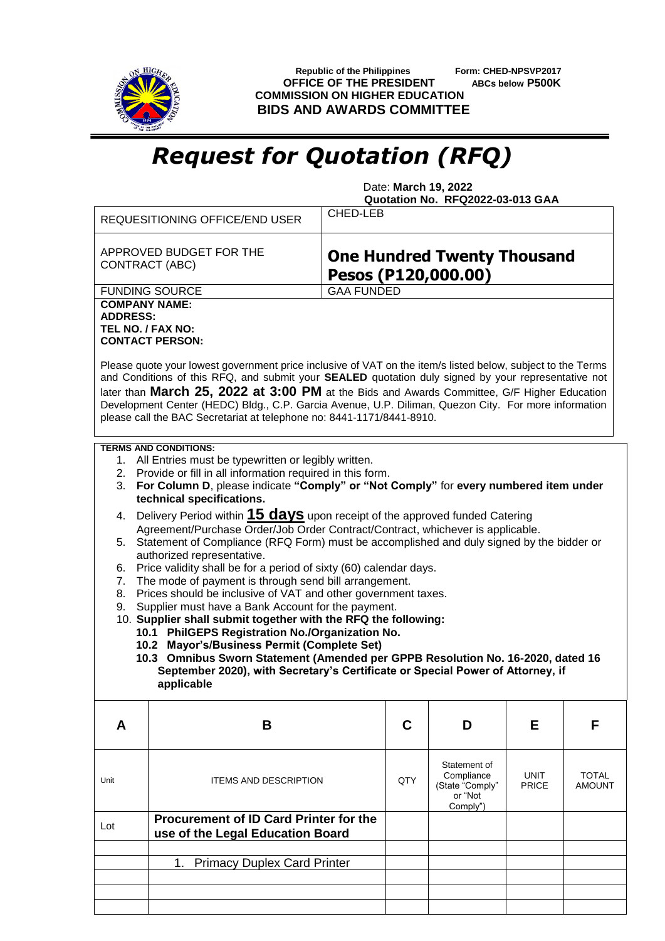

 **Republic of the Philippines Form: CHED-NPSVP2017 OFFICE OF THE PRESIDENT ABCs below P500K COMMISSION ON HIGHER EDUCATION BIDS AND AWARDS COMMITTEE**

## *Request for Quotation (RFQ)*

 Date: **March 19, 2022 Quotation No. RFQ2022-03-013 GAA**

|                                                                                                                                                                                                                                                                                                                                                                                                                                                                                                                                                                                                                                                                                                                                                                                                                                                                                                                                                                                                                                                                                                                                                                                                                           | <b>REQUESITIONING OFFICE/END USER</b>                                      | CHED-LEB                                                  |     |                                                                      |                             |                               |  |  |  |
|---------------------------------------------------------------------------------------------------------------------------------------------------------------------------------------------------------------------------------------------------------------------------------------------------------------------------------------------------------------------------------------------------------------------------------------------------------------------------------------------------------------------------------------------------------------------------------------------------------------------------------------------------------------------------------------------------------------------------------------------------------------------------------------------------------------------------------------------------------------------------------------------------------------------------------------------------------------------------------------------------------------------------------------------------------------------------------------------------------------------------------------------------------------------------------------------------------------------------|----------------------------------------------------------------------------|-----------------------------------------------------------|-----|----------------------------------------------------------------------|-----------------------------|-------------------------------|--|--|--|
|                                                                                                                                                                                                                                                                                                                                                                                                                                                                                                                                                                                                                                                                                                                                                                                                                                                                                                                                                                                                                                                                                                                                                                                                                           | APPROVED BUDGET FOR THE<br>CONTRACT (ABC)                                  | <b>One Hundred Twenty Thousand</b><br>Pesos (P120,000.00) |     |                                                                      |                             |                               |  |  |  |
|                                                                                                                                                                                                                                                                                                                                                                                                                                                                                                                                                                                                                                                                                                                                                                                                                                                                                                                                                                                                                                                                                                                                                                                                                           | <b>FUNDING SOURCE</b>                                                      | <b>GAA FUNDED</b>                                         |     |                                                                      |                             |                               |  |  |  |
| <b>COMPANY NAME:</b><br><b>ADDRESS:</b><br>TEL NO. / FAX NO:<br><b>CONTACT PERSON:</b><br>Please quote your lowest government price inclusive of VAT on the item/s listed below, subject to the Terms<br>and Conditions of this RFQ, and submit your SEALED quotation duly signed by your representative not<br>later than March 25, 2022 at 3:00 PM at the Bids and Awards Committee, G/F Higher Education<br>Development Center (HEDC) Bldg., C.P. Garcia Avenue, U.P. Diliman, Quezon City. For more information<br>please call the BAC Secretariat at telephone no: 8441-1171/8441-8910.                                                                                                                                                                                                                                                                                                                                                                                                                                                                                                                                                                                                                              |                                                                            |                                                           |     |                                                                      |                             |                               |  |  |  |
| <b>TERMS AND CONDITIONS:</b><br>1. All Entries must be typewritten or legibly written.<br>2. Provide or fill in all information required in this form.<br>For Column D, please indicate "Comply" or "Not Comply" for every numbered item under<br>3.<br>technical specifications.<br>Delivery Period within 15 days upon receipt of the approved funded Catering<br>4.<br>Agreement/Purchase Order/Job Order Contract/Contract, whichever is applicable.<br>5. Statement of Compliance (RFQ Form) must be accomplished and duly signed by the bidder or<br>authorized representative.<br>Price validity shall be for a period of sixty (60) calendar days.<br>6.<br>The mode of payment is through send bill arrangement.<br>7.<br>Prices should be inclusive of VAT and other government taxes.<br>8.<br>Supplier must have a Bank Account for the payment.<br>9.<br>10. Supplier shall submit together with the RFQ the following:<br>10.1 PhilGEPS Registration No./Organization No.<br>10.2 Mayor's/Business Permit (Complete Set)<br>10.3 Omnibus Sworn Statement (Amended per GPPB Resolution No. 16-2020, dated 16<br>September 2020), with Secretary's Certificate or Special Power of Attorney, if<br>applicable |                                                                            |                                                           |     |                                                                      |                             |                               |  |  |  |
| A                                                                                                                                                                                                                                                                                                                                                                                                                                                                                                                                                                                                                                                                                                                                                                                                                                                                                                                                                                                                                                                                                                                                                                                                                         | B                                                                          |                                                           | C   | D                                                                    | Е                           | F                             |  |  |  |
| Unit                                                                                                                                                                                                                                                                                                                                                                                                                                                                                                                                                                                                                                                                                                                                                                                                                                                                                                                                                                                                                                                                                                                                                                                                                      | <b>ITEMS AND DESCRIPTION</b>                                               |                                                           | QTY | Statement of<br>Compliance<br>(State "Comply"<br>or "Not<br>Comply") | <b>UNIT</b><br><b>PRICE</b> | <b>TOTAL</b><br><b>AMOUNT</b> |  |  |  |
| Lot                                                                                                                                                                                                                                                                                                                                                                                                                                                                                                                                                                                                                                                                                                                                                                                                                                                                                                                                                                                                                                                                                                                                                                                                                       | Procurement of ID Card Printer for the<br>use of the Legal Education Board |                                                           |     |                                                                      |                             |                               |  |  |  |
|                                                                                                                                                                                                                                                                                                                                                                                                                                                                                                                                                                                                                                                                                                                                                                                                                                                                                                                                                                                                                                                                                                                                                                                                                           | <b>Primacy Duplex Card Printer</b><br>1.                                   |                                                           |     |                                                                      |                             |                               |  |  |  |
|                                                                                                                                                                                                                                                                                                                                                                                                                                                                                                                                                                                                                                                                                                                                                                                                                                                                                                                                                                                                                                                                                                                                                                                                                           |                                                                            |                                                           |     |                                                                      |                             |                               |  |  |  |
|                                                                                                                                                                                                                                                                                                                                                                                                                                                                                                                                                                                                                                                                                                                                                                                                                                                                                                                                                                                                                                                                                                                                                                                                                           |                                                                            |                                                           |     |                                                                      |                             |                               |  |  |  |
|                                                                                                                                                                                                                                                                                                                                                                                                                                                                                                                                                                                                                                                                                                                                                                                                                                                                                                                                                                                                                                                                                                                                                                                                                           |                                                                            |                                                           |     |                                                                      |                             |                               |  |  |  |